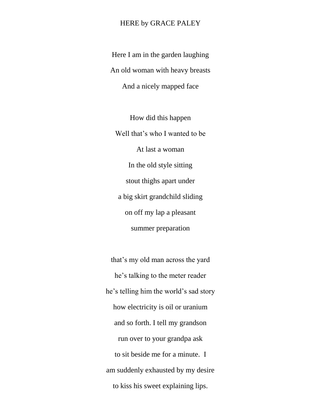## HERE by GRACE PALEY

Here I am in the garden laughing An old woman with heavy breasts And a nicely mapped face

How did this happen Well that's who I wanted to be At last a woman In the old style sitting stout thighs apart under a big skirt grandchild sliding on off my lap a pleasant summer preparation

that's my old man across the yard he's talking to the meter reader he's telling him the world's sad story how electricity is oil or uranium and so forth. I tell my grandson run over to your grandpa ask to sit beside me for a minute. I am suddenly exhausted by my desire to kiss his sweet explaining lips.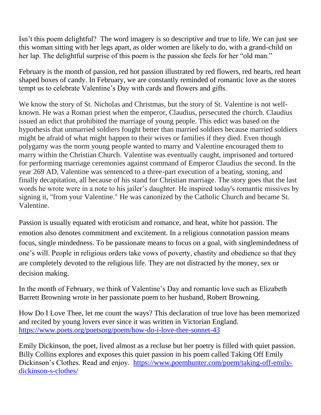Isn't this poem delightful? The word imagery is so descriptive and true to life. We can just see this woman sitting with her legs apart, as older women are likely to do, with a grand-child on her lap. The delightful surprise of this poem is the passion she feels for her "old man."

February is the month of passion, red hot passion illustrated by red flowers, red hearts, red heart shaped boxes of candy. In February, we are constantly reminded of romantic love as the stores tempt us to celebrate Valentine's Day with cards and flowers and gifts.

We know the story of St. Nicholas and Christmas, but the story of St. Valentine is not wellknown. He was a Roman priest when the emperor, Claudius, persecuted the church. Claudius issued an edict that prohibited the marriage of young people. This edict was based on the hypothesis that unmarried soldiers fought better than married soldiers because married soldiers might be afraid of what might happen to their wives or families if they died. Even though polygamy was the norm young people wanted to marry and Valentine encouraged them to marry within the Christian Church. Valentine was eventually caught, imprisoned and tortured for performing marriage ceremonies against command of Emperor Claudius the second. In the year 269 AD, Valentine was sentenced to a three-part execution of a beating, stoning, and finally decapitation, all because of his stand for Christian marriage. The story goes that the last words he wrote were in a note to his jailer's daughter. He inspired today's romantic missives by signing it, "from your Valentine." He was canonized by the Catholic Church and became St. Valentine.

Passion is usually equated with eroticism and romance, and heat, white hot passion. The emotion also denotes commitment and excitement. In a religious connotation passion means focus, single mindedness. To be passionate means to focus on a goal, with singlemindedness of one's will. People in religious orders take vows of poverty, chastity and obedience so that they are completely devoted to the religious life. They are not distracted by the money, sex or decision making.

In the month of February, we think of Valentine's Day and romantic love such as Elizabeth Barrett Browning wrote in her passionate poem to her husband, Robert Browning.

How Do I Love Thee, let me count the ways? This declaration of true love has been memorized and recited by young lovers ever since it was written in Victorian England. <https://www.poets.org/poetsorg/poem/how-do-i-love-thee-sonnet-43>

Emily Dickinson, the poet, lived almost as a recluse but her poetry is filled with quiet passion. Billy Collins explores and exposes this quiet passion in his poem called Taking Off Emily Dickinson's Clothes. Read and enjoy. [https://www.poemhunter.com/poem/taking-off-emily](https://www.poemhunter.com/poem/taking-off-emily-dickinson-s-clothes/)[dickinson-s-clothes/](https://www.poemhunter.com/poem/taking-off-emily-dickinson-s-clothes/)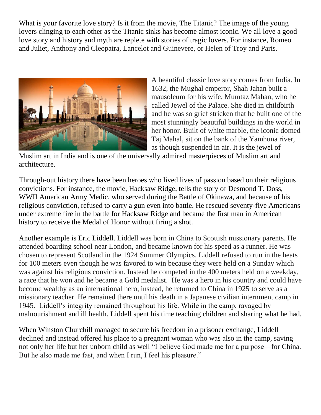What is your favorite love story? Is it from the movie, The Titanic? The image of the young lovers clinging to each other as the Titanic sinks has become almost iconic. We all love a good love story and history and myth are replete with stories of tragic lovers. For instance, Romeo and Juliet, Anthony and Cleopatra, Lancelot and Guinevere, or Helen of Troy and Paris.



A beautiful classic love story comes from India. In 1632, the Mughal emperor, Shah Jahan built a mausoleum for his wife, Mumtaz Mahan, who he called Jewel of the Palace. She died in childbirth and he was so grief stricken that he built one of the most stunningly beautiful buildings in the world in her honor. Built of white marble, the iconic domed Taj Mahal, sit on the bank of the Yamhuna river, as though suspended in air. It is the jewel of

Muslim art in India and is one of the universally admired masterpieces of Muslim art and architecture.

Through-out history there have been heroes who lived lives of passion based on their religious convictions. For instance, the movie, Hacksaw Ridge, tells the story of Desmond T. Doss, WWII American Army Medic, who served during the Battle of Okinawa, and because of his religious conviction, refused to carry a gun even into battle. He rescued seventy-five Americans under extreme fire in the battle for Hacksaw Ridge and became the first man in American history to receive the Medal of Honor without firing a shot.

Another example is Eric Liddell. Liddell was born in China to Scottish missionary parents. He attended boarding school near London, and became known for his speed as a runner. He was chosen to represent Scotland in the 1924 Summer Olympics. Liddell refused to run in the heats for 100 meters even though he was favored to win because they were held on a Sunday which was against his religious conviction. Instead he competed in the 400 meters held on a weekday, a race that he won and he became a Gold medalist. He was a hero in his country and could have become wealthy as an international hero, instead, he returned to China in 1925 to serve as a missionary teacher. He remained there until his death in a Japanese civilian internment camp in 1945. Liddell's integrity remained throughout his life. While in the camp, ravaged by malnourishment and ill health, Liddell spent his time teaching children and sharing what he had.

When Winston Churchill managed to secure his freedom in a prisoner exchange, Liddell declined and instead offered his place to a pregnant woman who was also in the camp, saving not only her life but her unborn child as well "I believe God made me for a purpose—for China. But he also made me fast, and when I run, I feel his pleasure."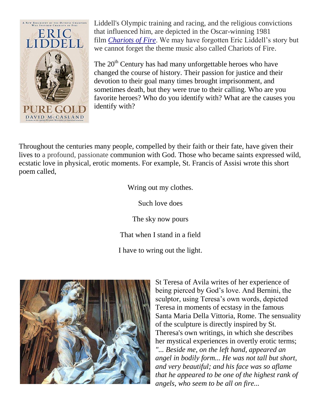

Liddell's Olympic training and racing, and the religious convictions that influenced him, are depicted in the Oscar-winning 1981 film *[Chariots of Fire](https://en.wikipedia.org/wiki/Chariots_of_Fire)*. We may have forgotten Eric Liddell's story but we cannot forget the theme music also called Chariots of Fire.

The 20<sup>th</sup> Century has had many unforgettable heroes who have changed the course of history. Their passion for justice and their devotion to their goal many times brought imprisonment, and sometimes death, but they were true to their calling. Who are you favorite heroes? Who do you identify with? What are the causes you identify with?

Throughout the centuries many people, compelled by their faith or their fate, have given their lives to a profound, passionate communion with God. Those who became saints expressed wild, ecstatic love in physical, erotic moments. For example, St. Francis of Assisi wrote this short poem called,

Wring out my clothes.

Such love does

The sky now pours

That when I stand in a field

I have to wring out the light.



St Teresa of Avila writes of her experience of being pierced by God's love. And Bernini, the sculptor, using Teresa's own words, depicted Teresa in moments of ecstasy in the famous Santa Maria Della Vittoria, Rome. The sensuality of the sculpture is directly inspired by St. Theresa's own writings, in which she describes her mystical experiences in overtly erotic terms; *"... Beside me, on the left hand, appeared an angel in bodily form... He was not tall but short, and very beautiful; and his face was so aflame that he appeared to be one of the highest rank of angels, who seem to be all on fire...*